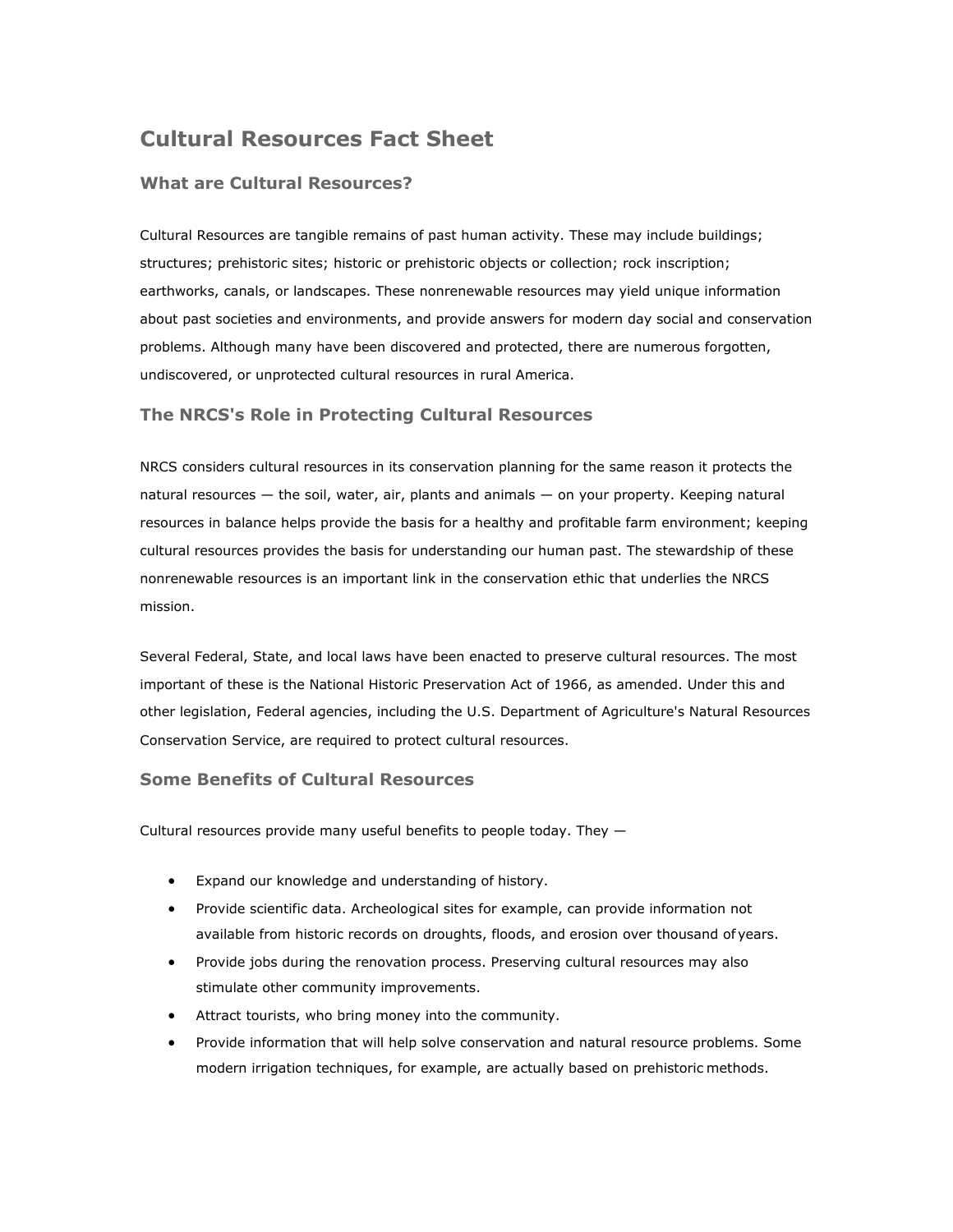# **Cultural Resources Fact Sheet**

## **What are Cultural Resources?**

Cultural Resources are tangible remains of past human activity. These may include buildings; structures; prehistoric sites; historic or prehistoric objects or collection; rock inscription; earthworks, canals, or landscapes. These nonrenewable resources may yield unique information about past societies and environments, and provide answers for modern day social and conservation problems. Although many have been discovered and protected, there are numerous forgotten, undiscovered, or unprotected cultural resources in rural America.

#### **The NRCS's Role in Protecting Cultural Resources**

NRCS considers cultural resources in its conservation planning for the same reason it protects the natural resources — the soil, water, air, plants and animals — on your property. Keeping natural resources in balance helps provide the basis for a healthy and profitable farm environment; keeping cultural resources provides the basis for understanding our human past. The stewardship of these nonrenewable resources is an important link in the conservation ethic that underlies the NRCS mission.

Several Federal, State, and local laws have been enacted to preserve cultural resources. The most important of these is the National Historic Preservation Act of 1966, as amended. Under this and other legislation, Federal agencies, including the U.S. Department of Agriculture's Natural Resources Conservation Service, are required to protect cultural resources.

#### **Some Benefits of Cultural Resources**

Cultural resources provide many useful benefits to people today. They  $-$ 

- Expand our knowledge and understanding of history.
- Provide scientific data. Archeological sites for example, can provide information not available from historic records on droughts, floods, and erosion over thousand of years.
- Provide jobs during the renovation process. Preserving cultural resources may also stimulate other community improvements.
- Attract tourists, who bring money into the community.
- Provide information that will help solve conservation and natural resource problems. Some modern irrigation techniques, for example, are actually based on prehistoric methods.